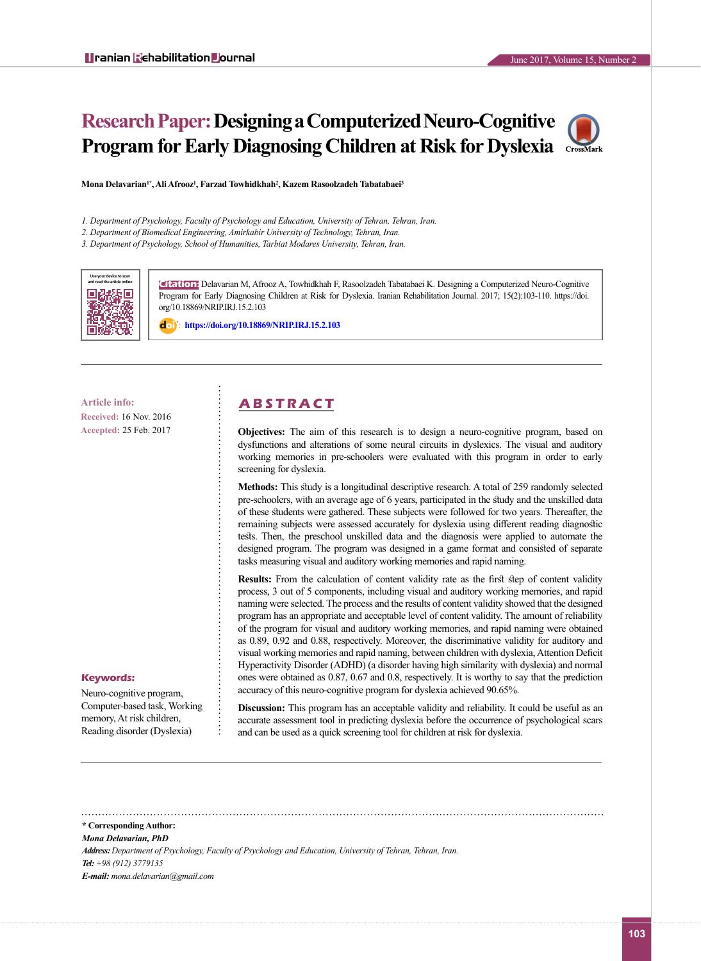# **Research Paper: Designing a Computerized Neuro-Cognitive Program for Early Diagnosing Children at Risk for Dyslexia**



**Mona Delavarian1\*, Ali Afrooz1 , Farzad Towhidkhah2 , Kazem Rasoolzadeh Tabatabaei3**

*1. Department of Psychology, Faculty of Psychology and Education, University of Tehran, Tehran, Iran.* 

*2. Department of Biomedical Engineering, Amirkabir University of Technology, Tehran, Iran.*

*3. Department of Psychology, School of Humanities, Tarbiat Modares University, Tehran, Iran.*



**Citation:** Delavarian M, Afrooz A, Towhidkhah F, Rasoolzadeh Tabatabaei K. Designing a Computerized Neuro-Cognitive Program for Early Diagnosing Children at Risk for Dyslexia. Iranian Rehabilitation Journal. 2017; 15(2):103-110. https://doi. org/10.18869/NRIP.IRJ.15.2.103

: **<https://doi.org/10.18869/NRIP.IRJ.15.2.103>**

**Received:** 16 Nov. 2016 **Accepted:** 25 Feb. 2017

#### **Keywords:**

Neuro-cognitive program, Computer-based task, Working memory, At risk children, Reading disorder (Dyslexia)

## **Article info: A B S T R A C T**

**Objectives:** The aim of this research is to design a neuro-cognitive program, based on dysfunctions and alterations of some neural circuits in dyslexics. The visual and auditory working memories in pre-schoolers were evaluated with this program in order to early screening for dyslexia.

**Methods:** This study is a longitudinal descriptive research. A total of 259 randomly selected pre-schoolers, with an average age of 6 years, participated in the study and the unskilled data of these students were gathered. These subjects were followed for two years. Thereafter, the remaining subjects were assessed accurately for dyslexia using different reading diagnostic tests. Then, the preschool unskilled data and the diagnosis were applied to automate the designed program. The program was designed in a game format and consisted of separate tasks measuring visual and auditory working memories and rapid naming.

**Results:** From the calculation of content validity rate as the first step of content validity process, 3 out of 5 components, including visual and auditory working memories, and rapid naming were selected. The process and the results of content validity showed that the designed program has an appropriate and acceptable level of content validity. The amount of reliability of the program for visual and auditory working memories, and rapid naming were obtained as 0.89, 0.92 and 0.88, respectively. Moreover, the discriminative validity for auditory and visual working memories and rapid naming, between children with dyslexia, Attention Deficit Hyperactivity Disorder (ADHD) (a disorder having high similarity with dyslexia) and normal ones were obtained as 0.87, 0.67 and 0.8, respectively. It is worthy to say that the prediction accuracy of this neuro-cognitive program for dyslexia achieved 90.65%.

**Discussion:** This program has an acceptable validity and reliability. It could be useful as an accurate assessment tool in predicting dyslexia before the occurrence of psychological scars and can be used as a quick screening tool for children at risk for dyslexia.

**\* Corresponding Author:**

*Mona Delavarian, PhD*

*Address: Department of Psychology, Faculty of Psychology and Education, University of Tehran, Tehran, Iran. Tel: +98 (912) 3779135 E-mail: mona.delavarian@gmail.com*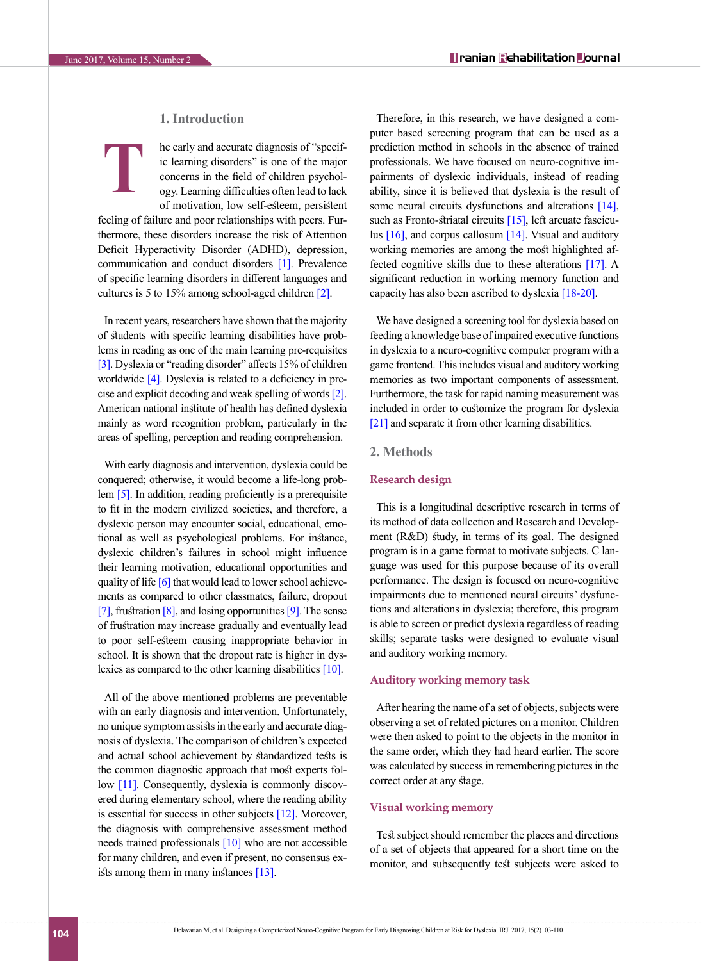### **1. Introduction**

he early and accurate diagnosis of "specific learning disorders" is one of the major concerns in the field of children psychology. Learning difficulties often lead to lack of motivation, low self-esteem, persistent **T**

feeling of failure and poor relationships with peers. Furthermore, these disorders increase the risk of Attention Deficit Hyperactivity Disorder (ADHD), depression, communication and conduct disorders [\[1\].](#page-5-0) Prevalence of specific learning disorders in different languages and cultures is 5 to 15% among school-aged children [\[2\]](#page-6-0).

In recent years, researchers have shown that the majority of students with specific learning disabilities have problems in reading as one of the main learning pre-requisites [\[3\]](#page-6-1). Dyslexia or "reading disorder" affects 15% of children worldwide [\[4\]](#page-6-2). Dyslexia is related to a deficiency in precise and explicit decoding and weak spelling of words [\[2\]](#page-6-0). American national institute of health has defined dyslexia mainly as word recognition problem, particularly in the areas of spelling, perception and reading comprehension.

With early diagnosis and intervention, dyslexia could be conquered; otherwise, it would become a life-long problem [5]. In addition, reading proficiently is a prerequisite to fit in the modern civilized societies, and therefore, a dyslexic person may encounter social, educational, emotional as well as psychological problems. For instance, dyslexic children's failures in school might influence their learning motivation, educational opportunities and quality of life [\[6\]](#page-6-3) that would lead to lower school achievements as compared to other classmates, failure, dropout [\[7\]](#page-6-4), frustration  $[8]$ , and losing opportunities  $[9]$ . The sense of frustration may increase gradually and eventually lead to poor self-esteem causing inappropriate behavior in school. It is shown that the dropout rate is higher in dys-lexics as compared to the other learning disabilities [\[10\]](#page-6-7).

All of the above mentioned problems are preventable with an early diagnosis and intervention. Unfortunately, no unique symptom assists in the early and accurate diagnosis of dyslexia. The comparison of children's expected and actual school achievement by standardized tests is the common diagnostic approach that most experts fol-low [\[11\].](#page-6-8) Consequently, dyslexia is commonly discovered during elementary school, where the reading ability is essential for success in other subjects [\[12\].](#page-6-9) Moreover, the diagnosis with comprehensive assessment method needs trained professionals [\[10\]](#page-6-7) who are not accessible for many children, and even if present, no consensus exists among them in many instances  $[13]$ .

Therefore, in this research, we have designed a computer based screening program that can be used as a prediction method in schools in the absence of trained professionals. We have focused on neuro-cognitive impairments of dyslexic individuals, instead of reading ability, since it is believed that dyslexia is the result of some neural circuits dysfunctions and alterations [\[14\]](#page-6-11), such as Fronto-striatal circuits [\[15\]](#page-6-12), left arcuate fasciculus  $[16]$ , and corpus callosum  $[14]$ . Visual and auditory working memories are among the most highlighted affected cognitive skills due to these alterations [17]. A significant reduction in working memory function and capacity has also been ascribed to dyslexia [\[18-20\]](#page-6-14).

We have designed a screening tool for dyslexia based on feeding a knowledge base of impaired executive functions in dyslexia to a neuro-cognitive computer program with a game frontend. This includes visual and auditory working memories as two important components of assessment. Furthermore, the task for rapid naming measurement was included in order to customize the program for dyslexia [\[21\]](#page-6-15) and separate it from other learning disabilities.

#### **2. Methods**

#### **Research design**

This is a longitudinal descriptive research in terms of its method of data collection and Research and Development (R&D) study, in terms of its goal. The designed program is in a game format to motivate subjects. C language was used for this purpose because of its overall performance. The design is focused on neuro-cognitive impairments due to mentioned neural circuits' dysfunctions and alterations in dyslexia; therefore, this program is able to screen or predict dyslexia regardless of reading skills; separate tasks were designed to evaluate visual and auditory working memory.

#### **Auditory working memory task**

After hearing the name of a set of objects, subjects were observing a set of related pictures on a monitor. Children were then asked to point to the objects in the monitor in the same order, which they had heard earlier. The score was calculated by success in remembering pictures in the correct order at any stage.

#### **Visual working memory**

Test subject should remember the places and directions of a set of objects that appeared for a short time on the monitor, and subsequently test subjects were asked to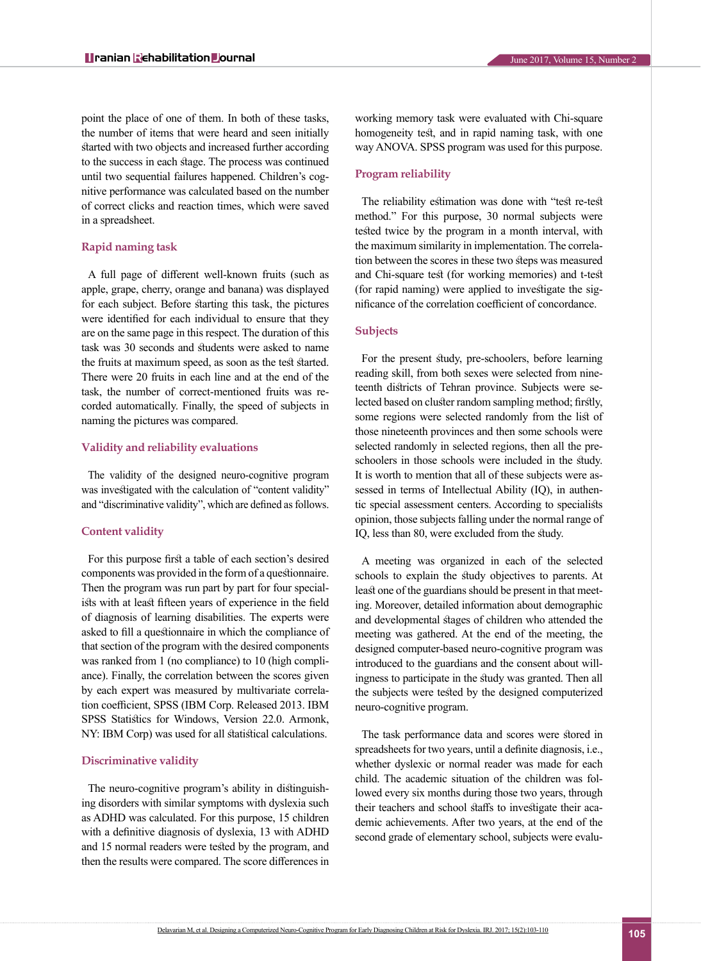point the place of one of them. In both of these tasks, the number of items that were heard and seen initially started with two objects and increased further according to the success in each stage. The process was continued until two sequential failures happened. Children's cognitive performance was calculated based on the number of correct clicks and reaction times, which were saved in a spreadsheet.

#### **Rapid naming task**

A full page of different well-known fruits (such as apple, grape, cherry, orange and banana) was displayed for each subject. Before starting this task, the pictures were identified for each individual to ensure that they are on the same page in this respect. The duration of this task was 30 seconds and students were asked to name the fruits at maximum speed, as soon as the test started. There were 20 fruits in each line and at the end of the task, the number of correct-mentioned fruits was recorded automatically. Finally, the speed of subjects in naming the pictures was compared.

#### **Validity and reliability evaluations**

The validity of the designed neuro-cognitive program was investigated with the calculation of "content validity" and "discriminative validity", which are defined as follows.

#### **Content validity**

For this purpose first a table of each section's desired components was provided in the form of a questionnaire. Then the program was run part by part for four specialists with at least fifteen years of experience in the field of diagnosis of learning disabilities. The experts were asked to fill a questionnaire in which the compliance of that section of the program with the desired components was ranked from 1 (no compliance) to 10 (high compliance). Finally, the correlation between the scores given by each expert was measured by multivariate correlation coefficient, SPSS (IBM Corp. Released 2013. IBM SPSS Statistics for Windows, Version 22.0. Armonk, NY: IBM Corp) was used for all statistical calculations.

#### **Discriminative validity**

The neuro-cognitive program's ability in distinguishing disorders with similar symptoms with dyslexia such as ADHD was calculated. For this purpose, 15 children with a definitive diagnosis of dyslexia, 13 with ADHD and 15 normal readers were tested by the program, and then the results were compared. The score differences in

working memory task were evaluated with Chi-square homogeneity test, and in rapid naming task, with one way ANOVA. SPSS program was used for this purpose.

#### **Program reliability**

The reliability estimation was done with "test re-test method." For this purpose, 30 normal subjects were tested twice by the program in a month interval, with the maximum similarity in implementation. The correlation between the scores in these two steps was measured and Chi-square test (for working memories) and t-test (for rapid naming) were applied to investigate the significance of the correlation coefficient of concordance.

#### **Subjects**

For the present study, pre-schoolers, before learning reading skill, from both sexes were selected from nineteenth districts of Tehran province. Subjects were selected based on cluster random sampling method; firstly, some regions were selected randomly from the list of those nineteenth provinces and then some schools were selected randomly in selected regions, then all the preschoolers in those schools were included in the study. It is worth to mention that all of these subjects were assessed in terms of Intellectual Ability (IQ), in authentic special assessment centers. According to specialists opinion, those subjects falling under the normal range of IQ, less than 80, were excluded from the study.

A meeting was organized in each of the selected schools to explain the study objectives to parents. At least one of the guardians should be present in that meeting. Moreover, detailed information about demographic and developmental stages of children who attended the meeting was gathered. At the end of the meeting, the designed computer-based neuro-cognitive program was introduced to the guardians and the consent about willingness to participate in the study was granted. Then all the subjects were tested by the designed computerized neuro-cognitive program.

The task performance data and scores were stored in spreadsheets for two years, until a definite diagnosis, i.e., whether dyslexic or normal reader was made for each child. The academic situation of the children was followed every six months during those two years, through their teachers and school staffs to investigate their academic achievements. After two years, at the end of the second grade of elementary school, subjects were evalu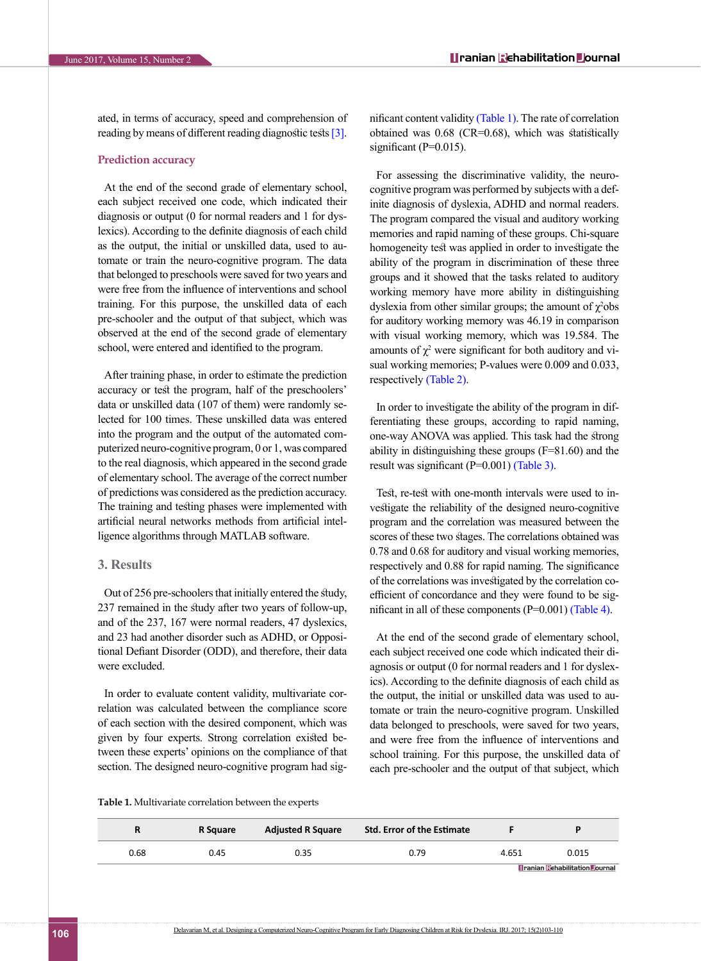ated, in terms of accuracy, speed and comprehension of reading by means of different reading diagnostic tests [\[3\]](#page-6-1).

#### **Prediction accuracy**

At the end of the second grade of elementary school, each subject received one code, which indicated their diagnosis or output (0 for normal readers and 1 for dyslexics). According to the definite diagnosis of each child as the output, the initial or unskilled data, used to automate or train the neuro-cognitive program. The data that belonged to preschools were saved for two years and were free from the influence of interventions and school training. For this purpose, the unskilled data of each pre-schooler and the output of that subject, which was observed at the end of the second grade of elementary school, were entered and identified to the program.

After training phase, in order to estimate the prediction accuracy or test the program, half of the preschoolers' data or unskilled data (107 of them) were randomly selected for 100 times. These unskilled data was entered into the program and the output of the automated computerized neuro-cognitive program, 0 or 1, was compared to the real diagnosis, which appeared in the second grade of elementary school. The average of the correct number of predictions was considered as the prediction accuracy. The training and testing phases were implemented with artificial neural networks methods from artificial intelligence algorithms through MATLAB software.

#### **3. Results**

Out of 256 pre-schoolers that initially entered the study, 237 remained in the study after two years of follow-up, and of the 237, 167 were normal readers, 47 dyslexics, and 23 had another disorder such as ADHD, or Oppositional Defiant Disorder (ODD), and therefore, their data were excluded.

In order to evaluate content validity, multivariate correlation was calculated between the compliance score of each section with the desired component, which was given by four experts. Strong correlation existed between these experts' opinions on the compliance of that section. The designed neuro-cognitive program had significant content validity [\(Table 1\)](#page-3-0). The rate of correlation obtained was 0.68 (CR=0.68), which was statistically significant  $(P=0.015)$ .

For assessing the discriminative validity, the neurocognitive program was performed by subjects with a definite diagnosis of dyslexia, ADHD and normal readers. The program compared the visual and auditory working memories and rapid naming of these groups. Chi-square homogeneity test was applied in order to investigate the ability of the program in discrimination of these three groups and it showed that the tasks related to auditory working memory have more ability in distinguishing dyslexia from other similar groups; the amount of  $\chi^2$ obs for auditory working memory was 46.19 in comparison with visual working memory, which was 19.584. The amounts of  $\chi^2$  were significant for both auditory and visual working memories; P-values were 0.009 and 0.033, respectively [\(Table 2\)](#page-4-0).

In order to investigate the ability of the program in differentiating these groups, according to rapid naming, one-way ANOVA was applied. This task had the strong ability in distinguishing these groups (F=81.60) and the result was significant (P=0.001) [\(Table 3\)](#page-4-1).

Test, re-test with one-month intervals were used to investigate the reliability of the designed neuro-cognitive program and the correlation was measured between the scores of these two stages. The correlations obtained was 0.78 and 0.68 for auditory and visual working memories, respectively and 0.88 for rapid naming. The significance of the correlations was investigated by the correlation coefficient of concordance and they were found to be significant in all of these components (P=0.001) [\(Table 4\)](#page-4-2).

At the end of the second grade of elementary school, each subject received one code which indicated their diagnosis or output (0 for normal readers and 1 for dyslexics). According to the definite diagnosis of each child as the output, the initial or unskilled data was used to automate or train the neuro-cognitive program. Unskilled data belonged to preschools, were saved for two years, and were free from the influence of interventions and school training. For this purpose, the unskilled data of each pre-schooler and the output of that subject, which

<span id="page-3-0"></span>**Table 1.** Multivariate correlation between the experts

|      | R Sauare | <b>Adjusted R Square</b> | <b>Std. Error of the Estimate</b> |       |                                       |
|------|----------|--------------------------|-----------------------------------|-------|---------------------------------------|
| 0.68 | 0.45     | 0.35                     | 0.79                              | 4.651 | 0.015                                 |
|      |          |                          |                                   |       | <b>Dranian Rehabilitation Dournal</b> |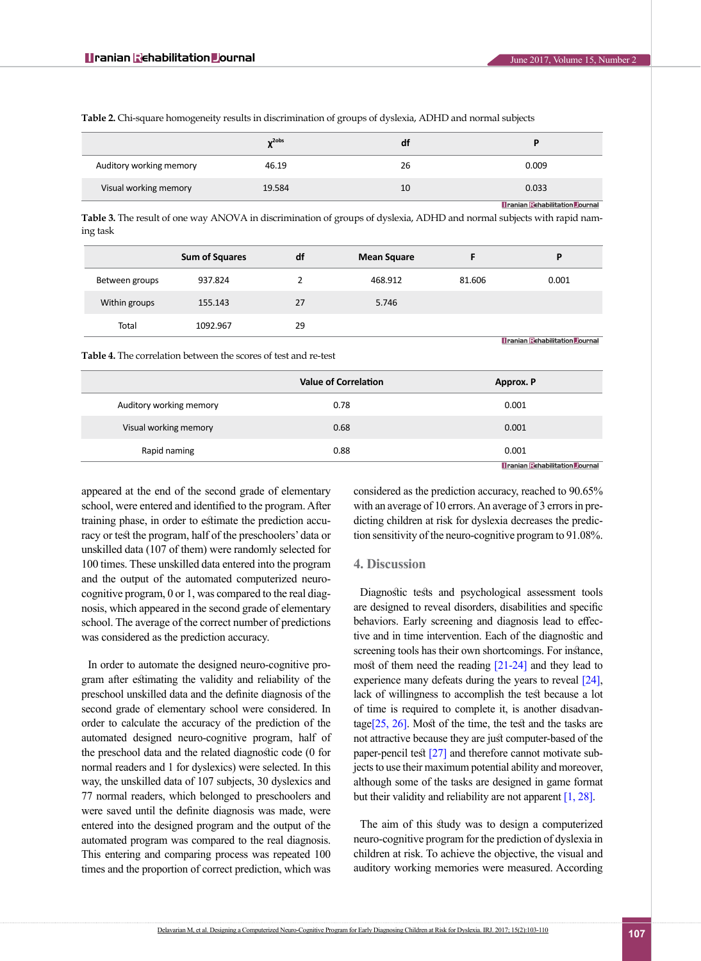|                         | $v2$ obs | a1 | D                                    |
|-------------------------|----------|----|--------------------------------------|
| Auditory working memory | 46.19    | 26 | 0.009                                |
| Visual working memory   | 19.584   | 10 | 0.033                                |
|                         |          |    | <b>Manian Rehabilitation Dournal</b> |

<span id="page-4-0"></span>**Table 2.** Chi-square homogeneity results in discrimination of groups of dyslexia, ADHD and normal subjects

<span id="page-4-1"></span>**Table 3.** The result of one way ANOVA in discrimination of groups of dyslexia, ADHD and normal subjects with rapid naming task

|                | <b>Sum of Squares</b> | df | <b>Mean Square</b> |        | D                                     |
|----------------|-----------------------|----|--------------------|--------|---------------------------------------|
| Between groups | 937.824               |    | 468.912            | 81.606 | 0.001                                 |
|                |                       |    |                    |        |                                       |
| Within groups  | 155.143               | 27 | 5.746              |        |                                       |
| Total          | 1092.967              | 29 |                    |        |                                       |
|                |                       |    |                    |        | <b>Branian Echabilitation Dournal</b> |

<span id="page-4-2"></span>**Table 4.** The correlation between the scores of test and re-test

|                         | <b>Value of Correlation</b> | Approx. P                             |
|-------------------------|-----------------------------|---------------------------------------|
| Auditory working memory | 0.78                        | 0.001                                 |
| Visual working memory   | 0.68                        | 0.001                                 |
| Rapid naming            | 0.88                        | 0.001                                 |
|                         |                             | <b>Dranian Rebabilitation Dournal</b> |

appeared at the end of the second grade of elementary school, were entered and identified to the program. After training phase, in order to estimate the prediction accuracy or test the program, half of the preschoolers' data or unskilled data (107 of them) were randomly selected for 100 times. These unskilled data entered into the program and the output of the automated computerized neurocognitive program, 0 or 1, was compared to the real diagnosis, which appeared in the second grade of elementary school. The average of the correct number of predictions was considered as the prediction accuracy.

In order to automate the designed neuro-cognitive program after estimating the validity and reliability of the preschool unskilled data and the definite diagnosis of the second grade of elementary school were considered. In order to calculate the accuracy of the prediction of the automated designed neuro-cognitive program, half of the preschool data and the related diagnostic code (0 for normal readers and 1 for dyslexics) were selected. In this way, the unskilled data of 107 subjects, 30 dyslexics and 77 normal readers, which belonged to preschoolers and were saved until the definite diagnosis was made, were entered into the designed program and the output of the automated program was compared to the real diagnosis. This entering and comparing process was repeated 100 times and the proportion of correct prediction, which was

considered as the prediction accuracy, reached to 90.65% with an average of 10 errors. An average of 3 errors in predicting children at risk for dyslexia decreases the prediction sensitivity of the neuro-cognitive program to 91.08%.

#### **4. Discussion**

Diagnostic tests and psychological assessment tools are designed to reveal disorders, disabilities and specific behaviors. Early screening and diagnosis lead to effective and in time intervention. Each of the diagnostic and screening tools has their own shortcomings. For instance, most of them need the reading [\[21-24\]](#page-6-16) and they lead to experience many defeats during the years to reveal [\[24\]](#page-6-17), lack of willingness to accomplish the test because a lot of time is required to complete it, is another disadvantage $[25, 26]$ . Most of the time, the test and the tasks are not attractive because they are just computer-based of the paper-pencil test [\[27\]](#page-6-19) and therefore cannot motivate subjects to use their maximum potential ability and moreover, although some of the tasks are designed in game format but their validity and reliability are not apparent [\[1,](#page-5-0) [28\]](#page-6-20).

The aim of this study was to design a computerized neuro-cognitive program for the prediction of dyslexia in children at risk. To achieve the objective, the visual and auditory working memories were measured. According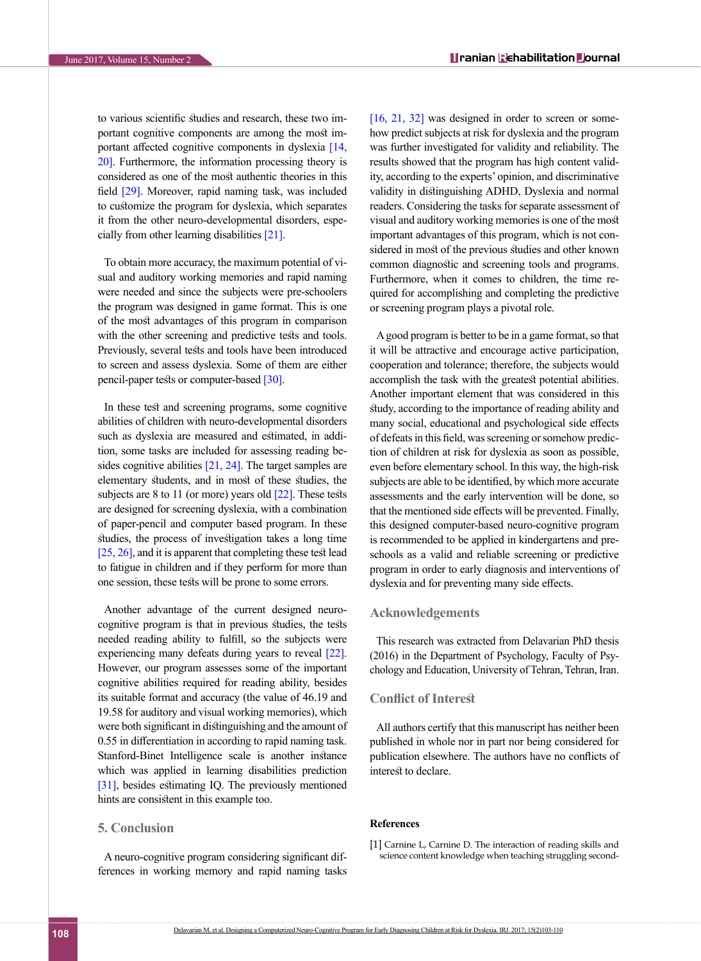to various scientific studies and research, these two important cognitive components are among the most important affected cognitive components in dyslexia [\[14,](#page-6-11)  [20\]](#page-6-15). Furthermore, the information processing theory is considered as one of the most authentic theories in this field [\[29\].](#page-6-21) Moreover, rapid naming task, was included to customize the program for dyslexia, which separates it from the other neuro-developmental disorders, espe-cially from other learning disabilities [\[21\]](#page-6-16).

To obtain more accuracy, the maximum potential of visual and auditory working memories and rapid naming were needed and since the subjects were pre-schoolers the program was designed in game format. This is one of the most advantages of this program in comparison with the other screening and predictive tests and tools. Previously, several tests and tools have been introduced to screen and assess dyslexia. Some of them are either pencil-paper tests or computer-based [\[30\]](#page-6-22).

In these test and screening programs, some cognitive abilities of children with neuro-developmental disorders such as dyslexia are measured and estimated, in addition, some tasks are included for assessing reading besides cognitive abilities [\[21,](#page-6-16) [24\]](#page-6-17). The target samples are elementary students, and in most of these studies, the subjects are  $8$  to  $11$  (or more) years old  $\lceil 22 \rceil$ . These tests are designed for screening dyslexia, with a combination of paper-pencil and computer based program. In these studies, the process of investigation takes a long time [25, [26\]](#page-6-18), and it is apparent that completing these test lead to fatigue in children and if they perform for more than one session, these tests will be prone to some errors.

Another advantage of the current designed neurocognitive program is that in previous studies, the tests needed reading ability to fulfill, so the subjects were experiencing many defeats during years to reveal [\[22\]](#page-6-23). However, our program assesses some of the important cognitive abilities required for reading ability, besides its suitable format and accuracy (the value of 46.19 and 19.58 for auditory and visual working memories), which were both significant in distinguishing and the amount of 0.55 in differentiation in according to rapid naming task. Stanford-Binet Intelligence scale is another instance which was applied in learning disabilities prediction [\[31\]](#page-6-24), besides estimating IQ. The previously mentioned hints are consistent in this example too.

#### **5. Conclusion**

A neuro-cognitive program considering significant differences in working memory and rapid naming tasks [\[16,](#page-6-13) [21,](#page-6-16) [32\]](#page-7-0) was designed in order to screen or somehow predict subjects at risk for dyslexia and the program was further investigated for validity and reliability. The results showed that the program has high content validity, according to the experts' opinion, and discriminative validity in distinguishing ADHD, Dyslexia and normal readers. Considering the tasks for separate assessment of visual and auditory working memories is one of the most important advantages of this program, which is not considered in most of the previous studies and other known common diagnostic and screening tools and programs. Furthermore, when it comes to children, the time required for accomplishing and completing the predictive or screening program plays a pivotal role.

A good program is better to be in a game format, so that it will be attractive and encourage active participation, cooperation and tolerance; therefore, the subjects would accomplish the task with the greatest potential abilities. Another important element that was considered in this study, according to the importance of reading ability and many social, educational and psychological side effects of defeats in this field, was screening or somehow prediction of children at risk for dyslexia as soon as possible, even before elementary school. In this way, the high-risk subjects are able to be identified, by which more accurate assessments and the early intervention will be done, so that the mentioned side effects will be prevented. Finally, this designed computer-based neuro-cognitive program is recommended to be applied in kindergartens and preschools as a valid and reliable screening or predictive program in order to early diagnosis and interventions of dyslexia and for preventing many side effects.

#### **Acknowledgements**

This research was extracted from Delavarian PhD thesis (2016) in the Department of Psychology, Faculty of Psychology and Education, University of Tehran, Tehran, Iran.

### **Conflict of Interest**

All authors certify that this manuscript has neither been published in whole nor in part nor being considered for publication elsewhere. The authors have no conflicts of interest to declare.

#### **References**

<span id="page-5-0"></span>[1] Carnine L, Carnine D. The interaction of reading skills and science content knowledge when teaching struggling second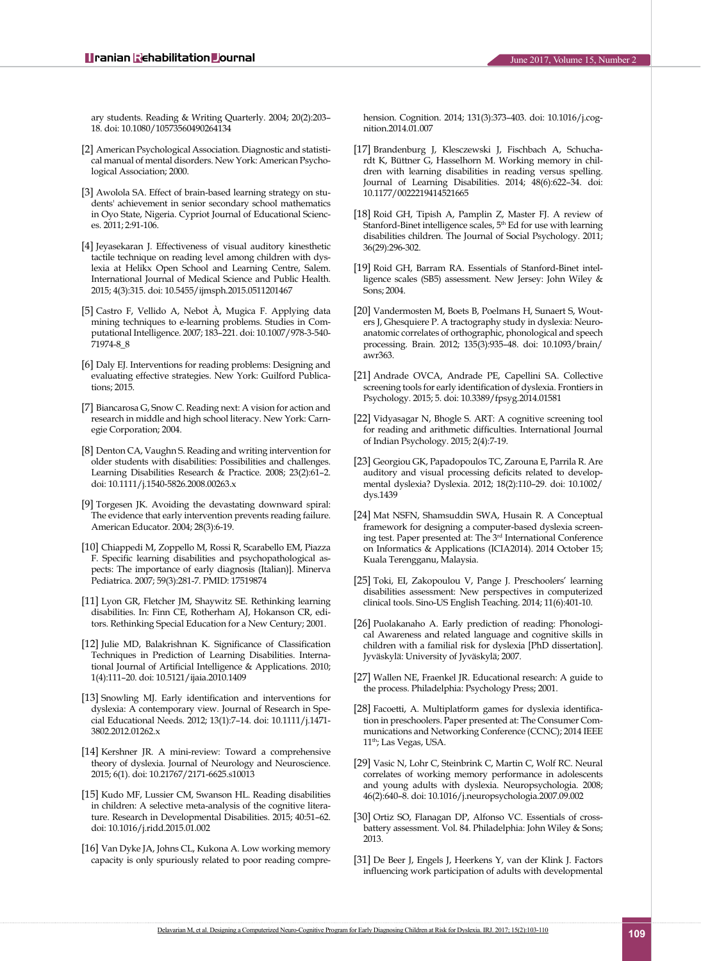ary students. Reading & Writing Quarterly. 2004; 20(2):203– 18. doi: 10.1080/10573560490264134

- <span id="page-6-0"></span>[2] American Psychological Association. Diagnostic and statistical manual of mental disorders. New York: American Psychological Association; 2000.
- <span id="page-6-1"></span>[3] Awolola SA. Effect of brain-based learning strategy on students' achievement in senior secondary school mathematics in Oyo State, Nigeria. Cypriot Journal of Educational Sciences. 2011; 2:91-106.
- <span id="page-6-2"></span>[4] Jeyasekaran J. Effectiveness of visual auditory kinesthetic tactile technique on reading level among children with dyslexia at Helikx Open School and Learning Centre, Salem. International Journal of Medical Science and Public Health. 2015; 4(3):315. doi: 10.5455/ijmsph.2015.0511201467
- [5] Castro F, Vellido A, Nebot À, Mugica F. Applying data mining techniques to e-learning problems. Studies in Computational Intelligence. 2007; 183–221. doi: 10.1007/978-3-540- 71974-8\_8
- <span id="page-6-3"></span>[6] Daly EJ. Interventions for reading problems: Designing and evaluating effective strategies. New York: Guilford Publications; 2015.
- <span id="page-6-4"></span>[7] Biancarosa G, Snow C. Reading next: A vision for action and research in middle and high school literacy. New York: Carnegie Corporation; 2004.
- <span id="page-6-5"></span>[8] Denton CA, Vaughn S. Reading and writing intervention for older students with disabilities: Possibilities and challenges. Learning Disabilities Research & Practice. 2008; 23(2):61–2. doi: 10.1111/j.1540-5826.2008.00263.x
- <span id="page-6-6"></span>[9] Torgesen JK. Avoiding the devastating downward spiral: The evidence that early intervention prevents reading failure. American Educator. 2004; 28(3):6-19.
- <span id="page-6-7"></span>[10] Chiappedi M, Zoppello M, Rossi R, Scarabello EM, Piazza F. Specific learning disabilities and psychopathological aspects: The importance of early diagnosis (Italian)]. Minerva Pediatrica. 2007; 59(3):281-7. PMID: 17519874
- <span id="page-6-8"></span>[11] Lyon GR, Fletcher JM, Shaywitz SE. Rethinking learning disabilities. In: Finn CE, Rotherham AJ, Hokanson CR, editors. Rethinking Special Education for a New Century; 2001.
- <span id="page-6-9"></span>[12] Julie MD, Balakrishnan K. Significance of Classification Techniques in Prediction of Learning Disabilities. International Journal of Artificial Intelligence & Applications. 2010; 1(4):111–20. doi: 10.5121/ijaia.2010.1409
- <span id="page-6-10"></span>[13] Snowling MJ. Early identification and interventions for dyslexia: A contemporary view. Journal of Research in Special Educational Needs. 2012; 13(1):7–14. doi: 10.1111/j.1471- 3802.2012.01262.x
- <span id="page-6-11"></span>[14] Kershner JR. A mini-review: Toward a comprehensive theory of dyslexia. Journal of Neurology and Neuroscience. 2015; 6(1). doi: 10.21767/2171-6625.s10013
- <span id="page-6-12"></span>[15] Kudo MF, Lussier CM, Swanson HL. Reading disabilities in children: A selective meta-analysis of the cognitive literature. Research in Developmental Disabilities. 2015; 40:51–62. doi: 10.1016/j.ridd.2015.01.002
- <span id="page-6-13"></span>[16] Van Dyke JA, Johns CL, Kukona A. Low working memory capacity is only spuriously related to poor reading compre-

hension. Cognition. 2014; 131(3):373–403. doi: 10.1016/j.cognition.2014.01.007

- [17] Brandenburg J, Klesczewski J, Fischbach A, Schuchardt K, Büttner G, Hasselhorn M. Working memory in children with learning disabilities in reading versus spelling. Journal of Learning Disabilities. 2014; 48(6):622–34. doi: 10.1177/0022219414521665
- <span id="page-6-14"></span>[18] Roid GH, Tipish A, Pamplin Z, Master FJ. A review of Stanford-Binet intelligence scales,  $5^{\rm th}$  Ed for use with learning disabilities children. The Journal of Social Psychology. 2011; 36(29):296-302.
- [19] Roid GH, Barram RA. Essentials of Stanford-Binet intelligence scales (SB5) assessment. New Jersey: John Wiley & Sons; 2004.
- <span id="page-6-15"></span>[20] Vandermosten M, Boets B, Poelmans H, Sunaert S, Wouters J, Ghesquiere P. A tractography study in dyslexia: Neuroanatomic correlates of orthographic, phonological and speech processing. Brain. 2012; 135(3):935–48. doi: 10.1093/brain/ awr363.
- <span id="page-6-16"></span>[21] Andrade OVCA, Andrade PE, Capellini SA. Collective screening tools for early identification of dyslexia. Frontiers in Psychology. 2015; 5. doi: 10.3389/fpsyg.2014.01581
- <span id="page-6-23"></span>[22] Vidyasagar N, Bhogle S. ART: A cognitive screening tool for reading and arithmetic difficulties. International Journal of Indian Psychology. 2015; 2(4):7-19.
- [23] Georgiou GK, Papadopoulos TC, Zarouna E, Parrila R. Are auditory and visual processing deficits related to developmental dyslexia? Dyslexia. 2012; 18(2):110–29. doi: 10.1002/ dys.1439
- <span id="page-6-17"></span>[24] Mat NSFN, Shamsuddin SWA, Husain R. A Conceptual framework for designing a computer-based dyslexia screening test. Paper presented at: The 3rd International Conference on Informatics & Applications (ICIA2014). 2014 October 15; Kuala Terengganu, Malaysia.
- [25] Toki, EI, Zakopoulou V, Pange J. Preschoolers' learning disabilities assessment: New perspectives in computerized clinical tools. Sino-US English Teaching. 2014; 11(6):401-10.
- <span id="page-6-18"></span>[26] Puolakanaho A. Early prediction of reading: Phonological Awareness and related language and cognitive skills in children with a familial risk for dyslexia [PhD dissertation]. Jyväskylä: University of Jyväskylä; 2007.
- <span id="page-6-19"></span>[27] Wallen NE, Fraenkel JR. Educational research: A guide to the process. Philadelphia: Psychology Press; 2001.
- <span id="page-6-20"></span>[28] Facoetti, A. Multiplatform games for dyslexia identification in preschoolers. Paper presented at: The Consumer Communications and Networking Conference (CCNC); 2014 IEEE 11<sup>th</sup>; Las Vegas, USA.
- <span id="page-6-21"></span>[29] Vasic N, Lohr C, Steinbrink C, Martin C, Wolf RC. Neural correlates of working memory performance in adolescents and young adults with dyslexia. Neuropsychologia. 2008; 46(2):640–8. doi: 10.1016/j.neuropsychologia.2007.09.002
- <span id="page-6-22"></span>[30] Ortiz SO, Flanagan DP, Alfonso VC. Essentials of crossbattery assessment. Vol. 84. Philadelphia: John Wiley & Sons; 2013.
- <span id="page-6-24"></span>[31] De Beer J, Engels J, Heerkens Y, van der Klink J. Factors influencing work participation of adults with developmental